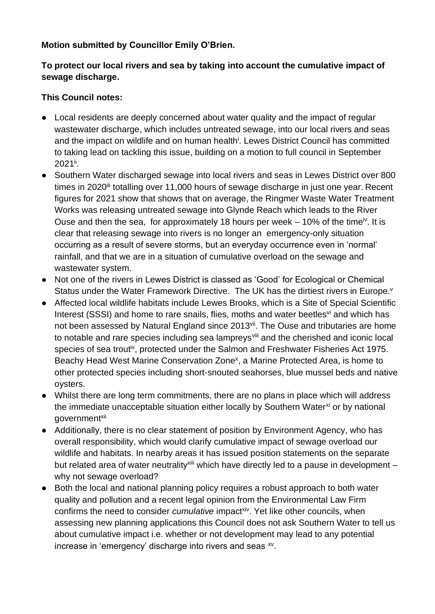#### **Motion submitted by Councillor Emily O'Brien.**

## **To protect our local rivers and sea by taking into account the cumulative impact of sewage discharge.**

## **This Council notes:**

- Local residents are deeply concerned about water quality and the impact of regular wastewater discharge, which includes untreated sewage, into our local rivers and seas and the impact on wildlife and on human health<sup>i</sup>. Lewes District Council has committed to taking lead on tackling this issue, building on a motion to full council in September 2021".
- Southern Water discharged sewage into local rivers and seas in Lewes District over 800 times in 2020<sup>iii</sup> totalling over 11,000 hours of sewage discharge in just one year. Recent figures for 2021 show that shows that on average, the Ringmer Waste Water Treatment Works was releasing untreated sewage into Glynde Reach which leads to the River Ouse and then the sea, for approximately 18 hours per week  $-10\%$  of the time<sup>iv</sup>. It is clear that releasing sewage into rivers is no longer an emergency-only situation occurring as a result of severe storms, but an everyday occurrence even in 'normal' rainfall, and that we are in a situation of cumulative overload on the sewage and wastewater system.
- Not one of the rivers in Lewes District is classed as 'Good' for Ecological or Chemical Status under the Water Framework Directive. The UK has the dirtiest rivers in Europe.<sup>v</sup>
- Affected local wildlife habitats include Lewes Brooks, which is a Site of Special Scientific Interest (SSSI) and home to rare snails, flies, moths and water beetles<sup>vi</sup> and which has not been assessed by Natural England since 2013<sup>vii</sup>. The Ouse and tributaries are home to notable and rare species including sea lampreys<sup>viii</sup> and the cherished and iconic local species of sea trout<sup>ix</sup>, protected under the Salmon and Freshwater Fisheries Act 1975. Beachy Head West Marine Conservation Zone<sup>x</sup>, a Marine Protected Area, is home to other protected species including short-snouted seahorses, blue mussel beds and native oysters.
- Whilst there are long term commitments, there are no plans in place which will address the immediate unacceptable situation either locally by Southern Water<sup>xi</sup> or by national government<sup>xii</sup>
- Additionally, there is no clear statement of position by Environment Agency, who has overall responsibility, which would clarify cumulative impact of sewage overload our wildlife and habitats. In nearby areas it has issued position statements on the separate but related area of water neutrality<sup>xiii</sup> which have directly led to a pause in development – why not sewage overload?
- Both the local and national planning policy requires a robust approach to both water quality and pollution and a recent legal opinion from the Environmental Law Firm confirms the need to consider *cumulative* impact<sup>xiv</sup>. Yet like other councils, when assessing new planning applications this Council does not ask Southern Water to tell us about cumulative impact i.e. whether or not development may lead to any potential increase in 'emergency' discharge into rivers and seas  $^{xy}$ .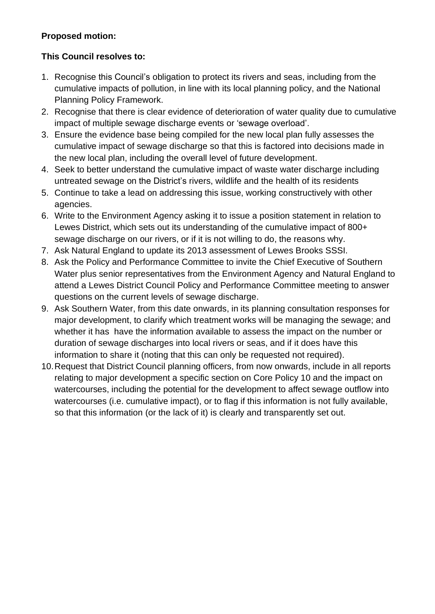#### **Proposed motion:**

# **This Council resolves to:**

- 1. Recognise this Council's obligation to protect its rivers and seas, including from the cumulative impacts of pollution, in line with its local planning policy, and the National Planning Policy Framework.
- 2. Recognise that there is clear evidence of deterioration of water quality due to cumulative impact of multiple sewage discharge events or 'sewage overload'.
- 3. Ensure the evidence base being compiled for the new local plan fully assesses the cumulative impact of sewage discharge so that this is factored into decisions made in the new local plan, including the overall level of future development.
- 4. Seek to better understand the cumulative impact of waste water discharge including untreated sewage on the District's rivers, wildlife and the health of its residents
- 5. Continue to take a lead on addressing this issue, working constructively with other agencies.
- 6. Write to the Environment Agency asking it to issue a position statement in relation to Lewes District, which sets out its understanding of the cumulative impact of 800+ sewage discharge on our rivers, or if it is not willing to do, the reasons why.
- 7. Ask Natural England to update its 2013 assessment of Lewes Brooks SSSI.
- 8. Ask the Policy and Performance Committee to invite the Chief Executive of Southern Water plus senior representatives from the Environment Agency and Natural England to attend a Lewes District Council Policy and Performance Committee meeting to answer questions on the current levels of sewage discharge.
- 9. Ask Southern Water, from this date onwards, in its planning consultation responses for major development, to clarify which treatment works will be managing the sewage; and whether it has have the information available to assess the impact on the number or duration of sewage discharges into local rivers or seas, and if it does have this information to share it (noting that this can only be requested not required).
- 10.Request that District Council planning officers, from now onwards, include in all reports relating to major development a specific section on Core Policy 10 and the impact on watercourses, including the potential for the development to affect sewage outflow into watercourses (i.e. cumulative impact), or to flag if this information is not fully available, so that this information (or the lack of it) is clearly and transparently set out.